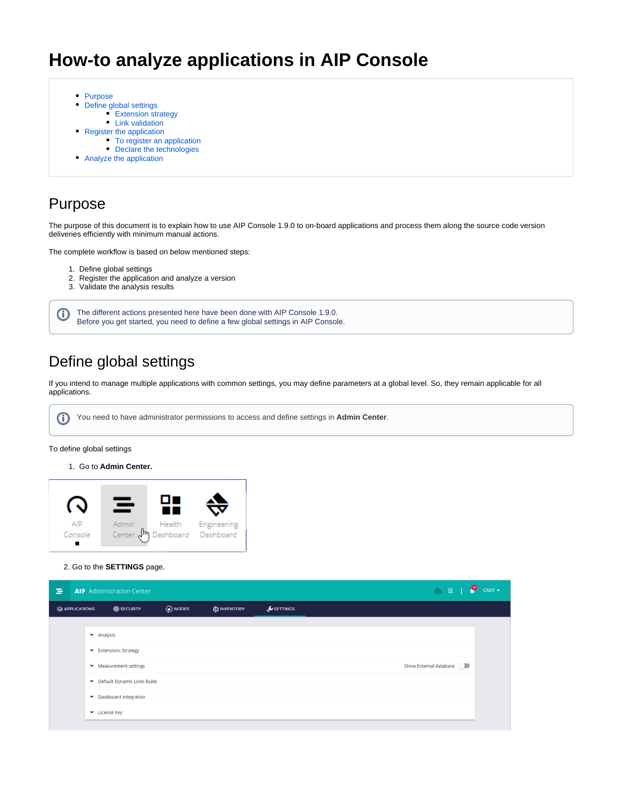# **How-to analyze applications in AIP Console**

- [Purpose](#page-0-0)
- [Define global settings](#page-0-1)
- [Extension strategy](#page-0-2)
	- [Link validation](#page-1-0)
- [Register the application](#page-2-0)
	- [To register an application](#page-2-1)
	- [Declare the technologies](#page-2-2)
- [Analyze the application](#page-3-0)

## <span id="page-0-0"></span>Purpose

The purpose of this document is to explain how to use AIP Console 1.9.0 to on-board applications and process them along the source code version deliveries efficiently with minimum manual actions.

The complete workflow is based on below mentioned steps:

- 1. Define global settings
- 2. Register the application and analyze a version
- 3. Validate the analysis results

The different actions presented here have been done with AIP Console 1.9.0. ➀ Before you get started, you need to define a few global settings in AIP Console.

## <span id="page-0-1"></span>Define global settings

If you intend to manage multiple applications with common settings, you may define parameters at a global level. So, they remain applicable for all applications.

⊕ You need to have administrator permissions to access and define settings in **Admin Center**.

#### To define global settings

1. Go to **Admin Center.**



#### 2. Go to the **SETTINGS** page.

<span id="page-0-2"></span>

| = |               | <b>AIP</b> Administration Center |           |                     |                       | $\bigcirc$ iii         | $CAST -$ |
|---|---------------|----------------------------------|-----------|---------------------|-----------------------|------------------------|----------|
|   | SAPPLICATIONS | <b>CONSIDERED</b>                | (a) NODES | <b>EQ INVENTORY</b> | $\mathcal S$ SETTINGS |                        |          |
|   |               | Analysis                         |           |                     |                       |                        |          |
|   |               | Extensions Strategy              |           |                     |                       |                        |          |
|   |               | ▼ Measurement settings           |           |                     |                       | Show External database |          |
|   |               | Default Dynamic Links Rules      |           |                     |                       |                        |          |
|   |               | Dashboard integration            |           |                     |                       |                        |          |
|   |               | v License Key                    |           |                     |                       |                        |          |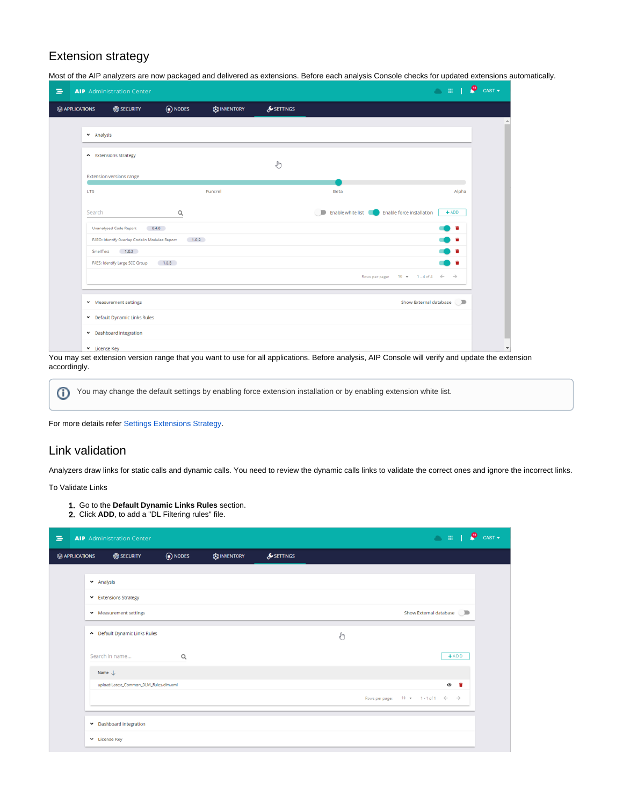### Extension strategy

Most of the AIP analyzers are now packaged and delivered as extensions. Before each analysis Console checks for updated extensions automatically.

| Ξ |                      | <b>AIP</b> Administration Center                        |                                                     |                     |                       |                                                       | <b>OFFICE</b> CAST                            |                          |
|---|----------------------|---------------------------------------------------------|-----------------------------------------------------|---------------------|-----------------------|-------------------------------------------------------|-----------------------------------------------|--------------------------|
|   | <b>SAPPLICATIONS</b> | <b>O</b> SECURITY                                       | (a) NODES                                           | <b>EX INVENTORY</b> | $\mathcal S$ SETTINGS |                                                       |                                               |                          |
|   |                      |                                                         |                                                     |                     |                       |                                                       |                                               |                          |
|   | × Analysis           |                                                         |                                                     |                     |                       |                                                       |                                               |                          |
|   |                      | - Extensions Strategy                                   |                                                     |                     |                       |                                                       |                                               |                          |
|   |                      | <b>Extension versions range</b>                         |                                                     |                     | ľ                     |                                                       |                                               |                          |
|   | <b>LTS</b>           |                                                         |                                                     | Funcrel             |                       | Beta                                                  | Alpha                                         |                          |
|   |                      |                                                         |                                                     |                     |                       |                                                       |                                               |                          |
|   | Search               |                                                         | Q                                                   |                     |                       | Enable white list <b>CO</b> Enable force installation | $+$ ADD                                       |                          |
|   |                      | Unanalysed Code Report 0.4.0                            |                                                     |                     |                       |                                                       | . .                                           |                          |
|   |                      |                                                         | FAEO: Identify Overlap Code In Modules Report 1.0.2 |                     |                       |                                                       | . .                                           |                          |
|   |                      | SmellTest 1.0.2<br>FAES: Identify Large SCC Group 1.0.3 |                                                     |                     |                       |                                                       | <b>10 H</b><br>) 6                            |                          |
|   |                      |                                                         |                                                     |                     |                       |                                                       | Rows per page: $10 \div 1.4$ of $4 \div \div$ |                          |
|   |                      |                                                         |                                                     |                     |                       |                                                       |                                               |                          |
|   |                      | Measurement settings                                    |                                                     |                     |                       |                                                       | Show External database <b>D</b>               |                          |
|   |                      | Default Dynamic Links Rules                             |                                                     |                     |                       |                                                       |                                               |                          |
|   |                      | Dashboard integration                                   |                                                     |                     |                       |                                                       |                                               |                          |
|   | v License Key        |                                                         |                                                     |                     |                       |                                                       |                                               | $\overline{\phantom{a}}$ |

You may set extension version range that you want to use for all applications. Before analysis, AIP Console will verify and update the extension accordingly.

⋒ You may change the default settings by enabling force extension installation or by enabling extension white list.

For more details refer [Settings Extensions Strategy.](https://doc.castsoftware.com/display/DOCCOM/AIP+Console+-+Administration+Center+-+Settings#AIPConsole-AdministrationCenter-Settings-ExtensionsStrategy)

### <span id="page-1-0"></span>Link validation

Analyzers draw links for static calls and dynamic calls. You need to review the dynamic calls links to validate the correct ones and ignore the incorrect links.

To Validate Links

- 1. Go to the **Default Dynamic Links Rules** section.
- 2. Click **ADD**, to add a "DL Filtering rules" file.

| ∍ |                      | <b>AIP</b> Administration Center       |           |                     |                       |   | <b>OFFICE</b> CAST                              |
|---|----------------------|----------------------------------------|-----------|---------------------|-----------------------|---|-------------------------------------------------|
|   | <b>SAPPLICATIONS</b> | <b>@</b> SECURITY                      | (p) NODES | <b>ES INVENTORY</b> | $\mathcal S$ settings |   |                                                 |
|   |                      |                                        |           |                     |                       |   |                                                 |
|   |                      | × Analysis                             |           |                     |                       |   |                                                 |
|   |                      | Extensions Strategy                    |           |                     |                       |   |                                                 |
|   |                      | Measurement settings                   |           |                     |                       |   | Show External database                          |
|   |                      | Default Dynamic Links Rules            |           |                     |                       | J |                                                 |
|   |                      | Search in name                         | Q         |                     |                       |   | $+ADD$                                          |
|   |                      | Name $\downarrow$                      |           |                     |                       |   |                                                 |
|   |                      | upload:Latest_Common_DLM_Rules.dlm.xml |           |                     |                       |   | . .<br>$\bullet$                                |
|   |                      |                                        |           |                     |                       |   | Rows per page: $10 + 1 - 1$ of $1 \leftarrow +$ |
|   |                      | Dashboard integration                  |           |                     |                       |   |                                                 |
|   |                      | License Key                            |           |                     |                       |   |                                                 |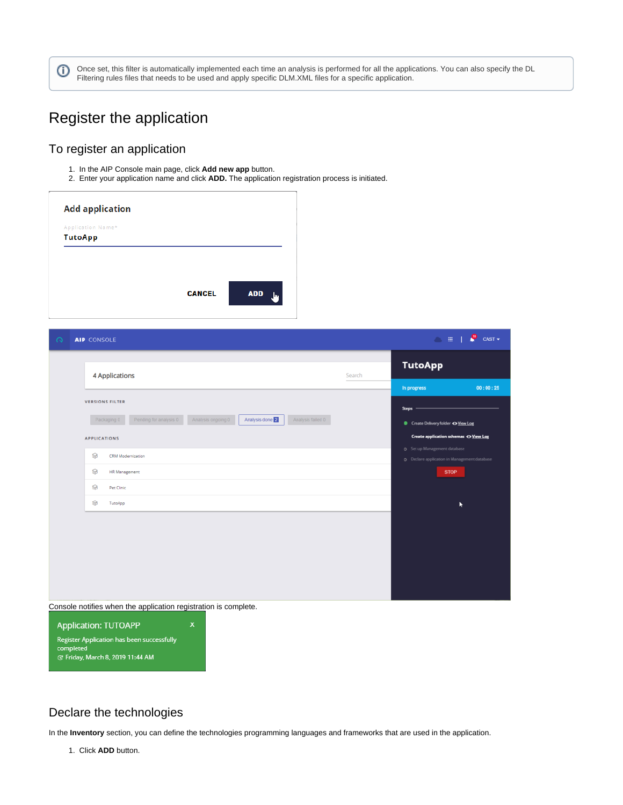Once set, this filter is automatically implemented each time an analysis is performed for all the applications. You can also specify the DL ⊙ Filtering rules files that needs to be used and apply specific DLM.XML files for a specific application.

## <span id="page-2-0"></span>Register the application

### <span id="page-2-1"></span>To register an application

1. In the AIP Console main page, click **Add new app** button.

2. Enter your application name and click **ADD.** The application registration process is initiated.

| Application Name* |  |
|-------------------|--|
| <b>TutoApp</b>    |  |
|                   |  |
|                   |  |
|                   |  |
|                   |  |
|                   |  |

| $\Omega$ | <b>AIP</b> CONSOLE                                                                                                          | P<br>$CAST -$<br>$\sim$ $\pm$ 1                                                                    |
|----------|-----------------------------------------------------------------------------------------------------------------------------|----------------------------------------------------------------------------------------------------|
|          | 4 Applications<br>Search                                                                                                    | <b>TutoApp</b>                                                                                     |
|          | <b>VERSIONS FILTER</b>                                                                                                      | In progress<br>00:00:25<br><b>Steps</b>                                                            |
|          | Pending for analysis 0<br>Analysis done 2<br>Analysis failed 0<br>Analysis ongoing 0<br>Packaging 0<br><b>APPLICATIONS</b>  | Create Delivery folder @ View Log<br>Create application schemas <a> <b>O</b> View Log</a>          |
|          | ଛ<br><b>CRM Modernization</b><br>ଛ<br><b>HR Management</b>                                                                  | <b>Q</b> Set up Management database<br>O Declare application in Management database<br><b>STOP</b> |
|          | ଛ<br>Pet Clinic<br>ଛ<br>TutoApp                                                                                             | ٠                                                                                                  |
|          |                                                                                                                             |                                                                                                    |
|          |                                                                                                                             |                                                                                                    |
|          |                                                                                                                             |                                                                                                    |
|          | Console notifies when the application registration is complete.<br><b>Application: TUTOAPP</b><br>$\boldsymbol{\mathsf{x}}$ |                                                                                                    |

Declare the technologies

Register Application has been successfully<br>completed<br>& Friday, March 8, 2019 11:44 AM

<span id="page-2-2"></span>In the **Inventory** section, you can define the technologies programming languages and frameworks that are used in the application.

1. Click **ADD** button.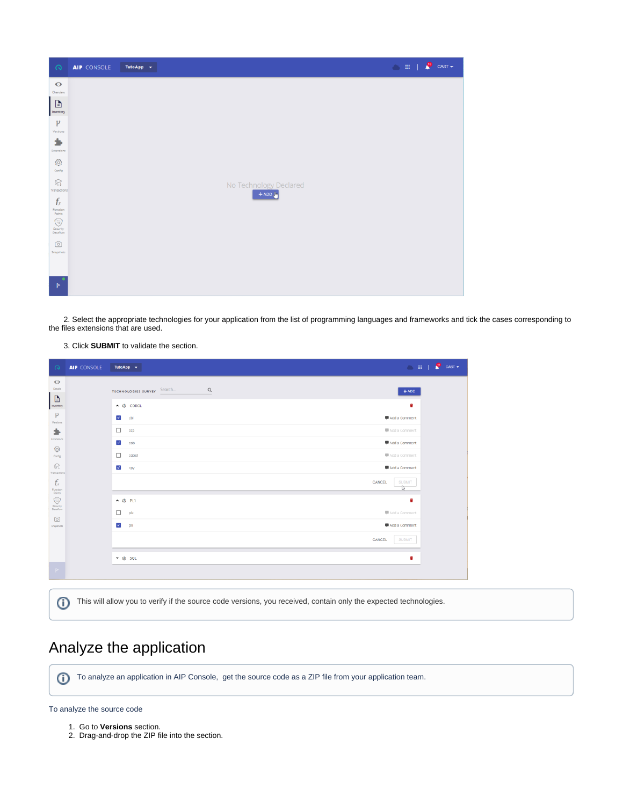| $\Omega$                             | AIP CONSOLE | TutoApp $\sim$ | <b>OHIO</b> CAST       |
|--------------------------------------|-------------|----------------|------------------------|
| $\bullet$<br>Overview                |             |                |                        |
| D<br>Inventory                       |             |                |                        |
| p<br>Versions                        |             |                |                        |
| ÷<br>Extensions                      |             |                |                        |
| త<br>Config                          |             |                |                        |
| $\mathbb{S}$<br>Transactions         |             |                | No Technology Declared |
| $f_x$<br>Function                    |             |                | $+ADD$                 |
| Points<br>$\circledcirc$<br>Security |             |                |                        |
| Dataflow<br>©                        |             |                |                        |
| Snapshots                            |             |                |                        |
| $\triangleright$                     |             |                |                        |

 2. Select the appropriate technologies for your application from the list of programming languages and frameworks and tick the cases corresponding to the files extensions that are used.

#### 3. Click **SUBMIT** to validate the section.

| $\circ$                        | <b>AIP</b> CONSOLE | TutoApp v                                              | $\bullet$ CAST $\bullet$       |
|--------------------------------|--------------------|--------------------------------------------------------|--------------------------------|
| $\bullet$<br>Details<br>$\Box$ |                    | $\hbox{\tt Q}$<br>Search<br><b>TECHNOLOGIES SURVEY</b> | $+$ ADD                        |
| Inventory<br>$\mathcal{V}$     |                    | ▲ 忠 COBOL<br>$\checkmark$<br>cbl                       | Ŵ<br>Add a Comment             |
| Versions<br>٠                  |                    | □<br>ccp                                               | Add a Comment                  |
| Extensions<br>◎<br>Config      |                    | $\checkmark$<br>cob<br>□<br>cobol                      | Add a Comment<br>Add a Comment |
| S<br><b>Fransactions</b>       |                    | $\checkmark$<br>сру                                    | Add a Comment                  |
| $f_x$<br>Function<br>Points    |                    |                                                        | CANCEL<br><b>SUBMIT</b>        |
| ⊙<br>Security<br>Dataflow      |                    | ▲ 由 PL1                                                | û                              |
| ⊙<br>Snapshots                 |                    | □<br>plc<br>$\checkmark$<br>pli                        | Add a Comment<br>Add a Comment |
|                                |                    |                                                        | CANCEL<br>SUBMIT               |
|                                |                    | v @ sqL                                                | û                              |
| $\mathbb{P}$                   |                    |                                                        |                                |

# <span id="page-3-0"></span>Analyze the application

To analyze an application in AIP Console, get the source code as a ZIP file from your application team.

To analyze the source code

1. Go to **Versions** section.

2. Drag-and-drop the ZIP file into the section.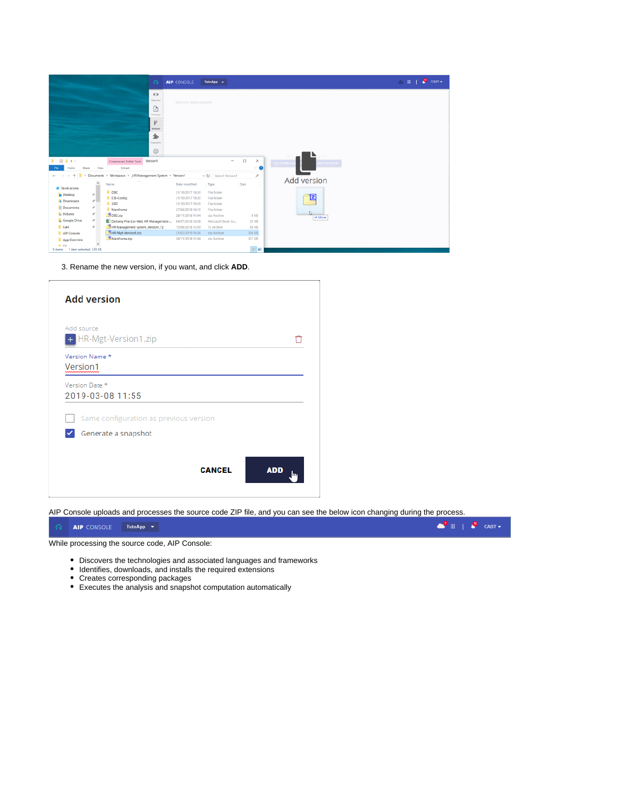| $\bullet$<br>Dverview<br>VERSION MANAGEMENT<br>b<br>Inventory<br>μ<br><b>Versions</b><br>٠<br>troicrati<br>◎<br>$\blacksquare$<br>$\Box$<br>$\times$<br>Version1<br>Compressed Folder Tools<br><b>O</b> DOWNLOW<br>DD VERSION<br>$\vee$ 0<br>Extract<br>Share<br>View<br>Home<br>« Documents > Workspace > _HR Management System > Version1<br>a<br>v O Search Version1<br>个<br>$\leftarrow$<br>Add version<br>$\hat{ }$<br>Type<br>Size<br>Name<br>Date modified<br><b>Cuick access</b><br>$\blacksquare$ DB2<br>File folder<br>31/10/2017 18:30<br>$\frac{x}{x}$<br><b>Desktop</b><br>囙<br><b>E</b> EJB-Config<br>File folder<br>31/10/2017 18:30<br><b>Downloads</b><br>1.0255<br>File folder<br>31/10/2017 18:30<br><b>B</b> Documents<br>$\mathcal{R}$<br>Mainframe<br>27/06/2018 18:10<br>File folder<br><b>R</b> <sub>n</sub> Pictures<br>$\mathcal{A}$<br>$B$ DB2.zip<br>8 KB<br>28/11/2018 11:04<br>zip Archive<br>$\rightarrow$ Maye<br><b>C</b> Google Drive<br>$\mathcal{R}$<br>Delivery-File-List-Web HR Management-<br>04/07/2018 18:58<br>Microsoft Excel Co.,<br>35 KB<br><b>L</b> Cast<br>HR Management system_Version1.7z<br>$\pi^*$<br>15/06/2018 12:49<br>69 KB<br>7z Archive |             | $\Omega$            | TutoApp -<br><b>AIP CONSOLE</b>           | <b>CHIP</b> CAST |
|---------------------------------------------------------------------------------------------------------------------------------------------------------------------------------------------------------------------------------------------------------------------------------------------------------------------------------------------------------------------------------------------------------------------------------------------------------------------------------------------------------------------------------------------------------------------------------------------------------------------------------------------------------------------------------------------------------------------------------------------------------------------------------------------------------------------------------------------------------------------------------------------------------------------------------------------------------------------------------------------------------------------------------------------------------------------------------------------------------------------------------------------------------------------------------------------------|-------------|---------------------|-------------------------------------------|------------------|
|                                                                                                                                                                                                                                                                                                                                                                                                                                                                                                                                                                                                                                                                                                                                                                                                                                                                                                                                                                                                                                                                                                                                                                                                   |             |                     |                                           |                  |
|                                                                                                                                                                                                                                                                                                                                                                                                                                                                                                                                                                                                                                                                                                                                                                                                                                                                                                                                                                                                                                                                                                                                                                                                   |             |                     |                                           |                  |
|                                                                                                                                                                                                                                                                                                                                                                                                                                                                                                                                                                                                                                                                                                                                                                                                                                                                                                                                                                                                                                                                                                                                                                                                   |             |                     |                                           |                  |
|                                                                                                                                                                                                                                                                                                                                                                                                                                                                                                                                                                                                                                                                                                                                                                                                                                                                                                                                                                                                                                                                                                                                                                                                   |             |                     |                                           |                  |
| Mainframe.zip<br>327 KB<br>28/11/2018 11:04<br>zip Archive<br>App Overview                                                                                                                                                                                                                                                                                                                                                                                                                                                                                                                                                                                                                                                                                                                                                                                                                                                                                                                                                                                                                                                                                                                        | AIP Console | HR-Mgt-Version1.zip | 21/02/2019 16:36<br>334 KB<br>zip Archive |                  |

3. Rename the new version, if you want, and click **ADD**.

| Same configuration as previous version |
|----------------------------------------|

AIP Console uploads and processes the source code ZIP file, and you can see the below icon changing during the process.

| <b>O AIP CONSOLE</b> TutoApp V |                                                                                                                                              |  |
|--------------------------------|----------------------------------------------------------------------------------------------------------------------------------------------|--|
|                                | $\Delta E = 1$ . The second section of the section of the second $\Delta E = 0$ . The second section of the second section of $\Delta E = 0$ |  |

While processing the source code, AIP Console:

- Discovers the technologies and associated languages and frameworks
- Identifies, downloads, and installs the required extensions
- Creates corresponding packages
- Executes the analysis and snapshot computation automatically